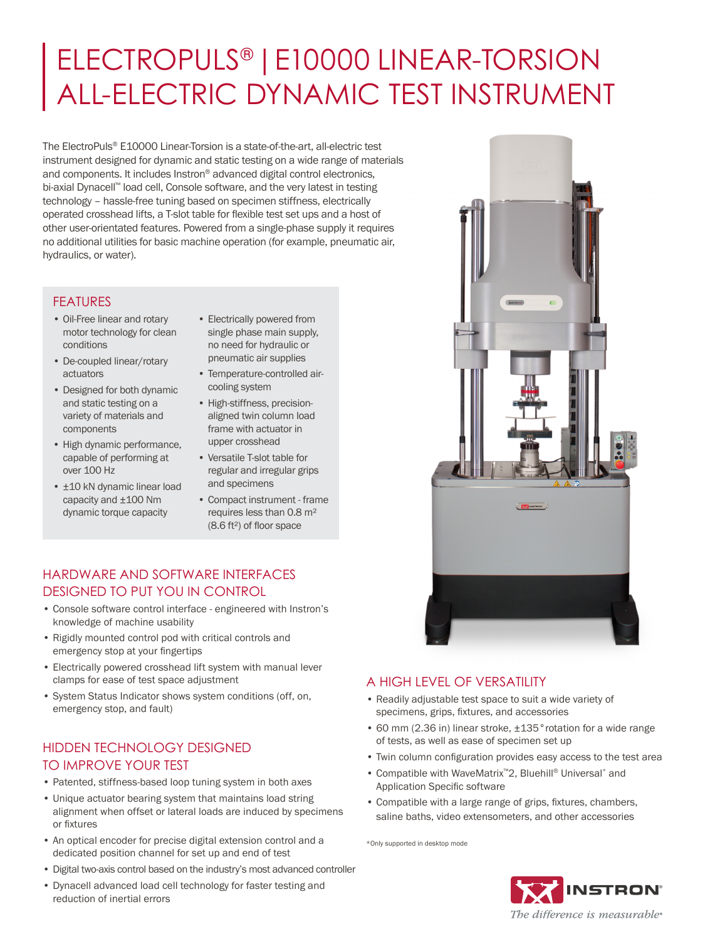# ELECTROPULS® |E10000 LINEAR-TORSION ALL-ELECTRIC DYNAMIC TEST INSTRUMENT

The ElectroPuls® E10000 Linear-Torsion is a state-of-the-art, all-electric test instrument designed for dynamic and static testing on a wide range of materials and components. It includes Instron® advanced digital control electronics, bi-axial Dynacell™ load cell, Console software, and the very latest in testing technology – hassle-free tuning based on specimen stiffness, electrically operated crosshead lifts, a T-slot table for flexible test set ups and a host of other user-orientated features. Powered from a single-phase supply it requires no additional utilities for basic machine operation (for example, pneumatic air, hydraulics, or water).

### FEATURES

- Oil-Free linear and rotary motor technology for clean conditions
- De-coupled linear/rotary actuators
- Designed for both dynamic and static testing on a variety of materials and components
- High dynamic performance, capable of performing at over 100 Hz
- $\pm$ 10 kN dynamic linear load capacity and ±100 Nm dynamic torque capacity
- Electrically powered from single phase main supply, no need for hydraulic or pneumatic air supplies
- Temperature-controlled aircooling system
- High-stiffness, precisionaligned twin column load frame with actuator in upper crosshead
- Versatile T-slot table for regular and irregular grips and specimens
- Compact instrument frame requires less than 0.8 m² (8.6 ft²) of floor space

### HARDWARE AND SOFTWARE INTERFACES DESIGNED TO PUT YOU IN CONTROL

- Console software control interface engineered with Instron's knowledge of machine usability
- Rigidly mounted control pod with critical controls and emergency stop at your fingertips
- Electrically powered crosshead lift system with manual lever clamps for ease of test space adjustment
- System Status Indicator shows system conditions (off, on, emergency stop, and fault)

### HIDDEN TECHNOLOGY DESIGNED TO IMPROVE YOUR TEST

- Patented, stiffness-based loop tuning system in both axes
- Unique actuator bearing system that maintains load string alignment when offset or lateral loads are induced by specimens or fixtures
- An optical encoder for precise digital extension control and a dedicated position channel for set up and end of test
- Digital two-axis control based on the industry's most advanced controller
- Dynacell advanced load cell technology for faster testing and reduction of inertial errors



### A HIGH LEVEL OF VERSATILITY

- Readily adjustable test space to suit a wide variety of specimens, grips, fixtures, and accessories
- 60 mm (2.36 in) linear stroke, ±135°rotation for a wide range of tests, as well as ease of specimen set up
- Twin column configuration provides easy access to the test area
- Compatible with WaveMatrix™2, Bluehill® Universal\* and Application Specific software
- Compatible with a large range of grips, fixtures, chambers, saline baths, video extensometers, and other accessories

\*Only supported in desktop mode

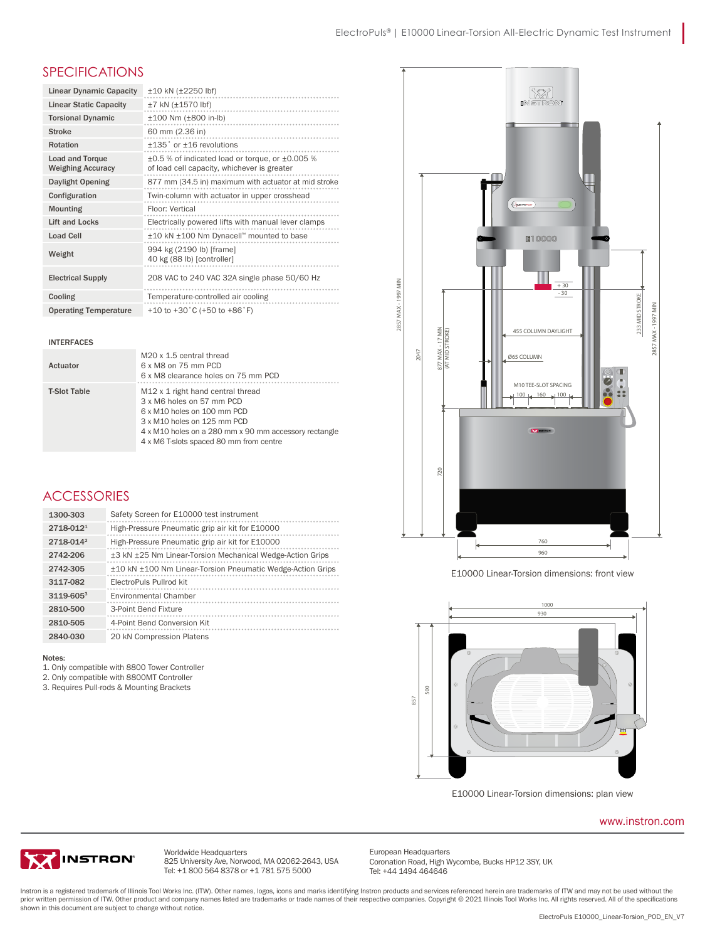I

### SPECIFICATIONS

| <b>Linear Dynamic Capacity</b>                     | $±10$ kN ( $±2250$ lbf)                                                                        |
|----------------------------------------------------|------------------------------------------------------------------------------------------------|
| <b>Linear Static Capacity</b>                      | $±7$ kN $(±1570$ lbf)                                                                          |
| <b>Torsional Dynamic</b>                           | $±100$ Nm ( $±800$ in-lb)                                                                      |
| <b>Stroke</b>                                      | 60 mm (2.36 in)                                                                                |
| Rotation                                           | $±135$ ° or $±16$ revolutions                                                                  |
| <b>Load and Torque</b><br><b>Weighing Accuracy</b> | ±0.5 % of indicated load or torque, or ±0.005 %<br>of load cell capacity, whichever is greater |
| Daylight Opening                                   | 877 mm (34.5 in) maximum with actuator at mid stroke                                           |
| Configuration                                      | Twin-column with actuator in upper crosshead                                                   |
| <b>Mounting</b>                                    | Floor: Vertical                                                                                |
| Lift and Locks                                     | Electrically powered lifts with manual lever clamps                                            |
| <b>Load Cell</b>                                   | ±10 kN ±100 Nm Dynacell™ mounted to base                                                       |
| Weight                                             | 994 kg (2190 lb) [frame]<br>40 kg (88 lb) [controller]                                         |
| <b>Electrical Supply</b>                           | 208 VAC to 240 VAC 32A single phase 50/60 Hz                                                   |
| Cooling                                            | Temperature-controlled air cooling                                                             |
| <b>Operating Temperature</b>                       | +10 to +30 $^{\circ}$ C (+50 to +86 $^{\circ}$ F)                                              |

### INTERFACES

| Actuator            | M <sub>20</sub> x 1.5 central thread<br>6 x M8 on 75 mm PCD<br>6 x M8 clearance holes on 75 mm PCD                                                                                                                                           |
|---------------------|----------------------------------------------------------------------------------------------------------------------------------------------------------------------------------------------------------------------------------------------|
| <b>T-Slot Table</b> | M <sub>12</sub> x 1 right hand central thread<br>3 x M6 holes on 57 mm PCD<br>6 x M10 holes on 100 mm PCD<br>3 x M10 holes on 125 mm PCD<br>4 x M10 holes on a 280 mm x 90 mm accessory rectangle<br>4 x M6 T-slots spaced 80 mm from centre |

# ACCESSORIES

| 1300-303       | Safety Screen for E10000 test instrument                   |
|----------------|------------------------------------------------------------|
| $2718 - 0121$  | High-Pressure Pneumatic grip air kit for E10000            |
| 2718-0142      | High-Pressure Pneumatic grip air kit for E10000            |
| 2742-206       | ±3 kN ±25 Nm Linear-Torsion Mechanical Wedge-Action Grips  |
| 2742-305       | ±10 kN ±100 Nm Linear-Torsion Pneumatic Wedge-Action Grips |
| 3117-082       | ElectroPuls Pullrod kit                                    |
| $3119 - 605^3$ | <b>Environmental Chamber</b>                               |
| 2810-500       | 3-Point Bend Fixture                                       |
| 2810-505       | 4-Point Bend Conversion Kit                                |
| 2840-030       | 20 kN Compression Platens                                  |

#### $2742-274$   $\pm$   $27$   $\pm$   $27$   $\pm$   $27$   $\pm$   $27$   $\pm$   $27$   $\pm$   $27$   $\pm$   $27$   $\pm$   $27$   $\pm$   $27$   $\pm$   $27$   $\pm$   $27$   $\pm$   $27$   $\pm$   $27$   $\pm$   $27$   $\pm$   $27$   $\pm$   $27$   $\pm$   $27$   $\pm$   $27$   $\pm$   $27$   $\pm$   $27$   $\pm$   $27$  Notes: 2742-206 to 2742-206  $\mu$ 3 km  $\mu$ 3 km  $\mu$ 3 km  $\mu$ 3 km  $\mu$ 3 km  $\mu$ 3 km  $\mu$ 3 km  $\mu$ 3 km  $\mu$ 3 km  $\mu$ 3 km  $\mu$ 3 km  $\mu$ 3 km  $\mu$ 3 km  $\mu$ 3 km  $\mu$ 3 km  $\mu$ 3 km  $\mu$ 3 km  $\mu$ 3 km  $\mu$ 3 km  $\mu$ 3 km  $\mu$ 3 km  $\mu$ 3 km  $\mu$

- 1. Only compatible with 8800 Tower Controller
- 2. Only compatible with 8800MT Controller
- 3. Requires Pull-rods & Mounting Brackets



E10000 Linear-Torsion dimensions: front view E10000 Linear-Torsion dimensions: front view E10000 Linear-Torsion dimensions: front view



E10000 Linear-Torsion dimensions: plan view E10000 Linear-Torsion dimensions: plan view E10000 Linear-Torsion dimensions: plan view

#### www.instron.com [www.instron.com](http://www.instron.com) <u>www.instron.com</u>



Worldwide Headquarters Worldwide Headquarters 825 University Ave, Norwood, MA 02062-2643, USA Tel: +1 800 564 8378 or +1 781 575 5000 825 University Ave, Norwood, MA 02062-2643, USA Tel: +1 800 564 8378 or +1 781 575 5000 825 University Ave, Norwood, MA 02062-26<br>Tel: +1 800 564 8378 or +1 781 575 500

European Headquarters European Headquarters Coronation Road, High Wycombe, Bucks HP12 3SY, UK Coronation Road, High Wycombe, Bucks HP12 3SY, UK European Headquarters Tel: +44 1494 464646

msuch is a registered datemark of influits fool works life. (Frw), other handes, logos, icous and marks dentifying institution products and services referenced netern are trademarks of it w and may not be used without the shown in this document are subject to change without notice. Instron is a registered trademark of Illinois Tool Works Inc. (ITW). Other names, logos, icons and marks identifying Instron products and services referenced herein are trademarks of ITW and may not be used without the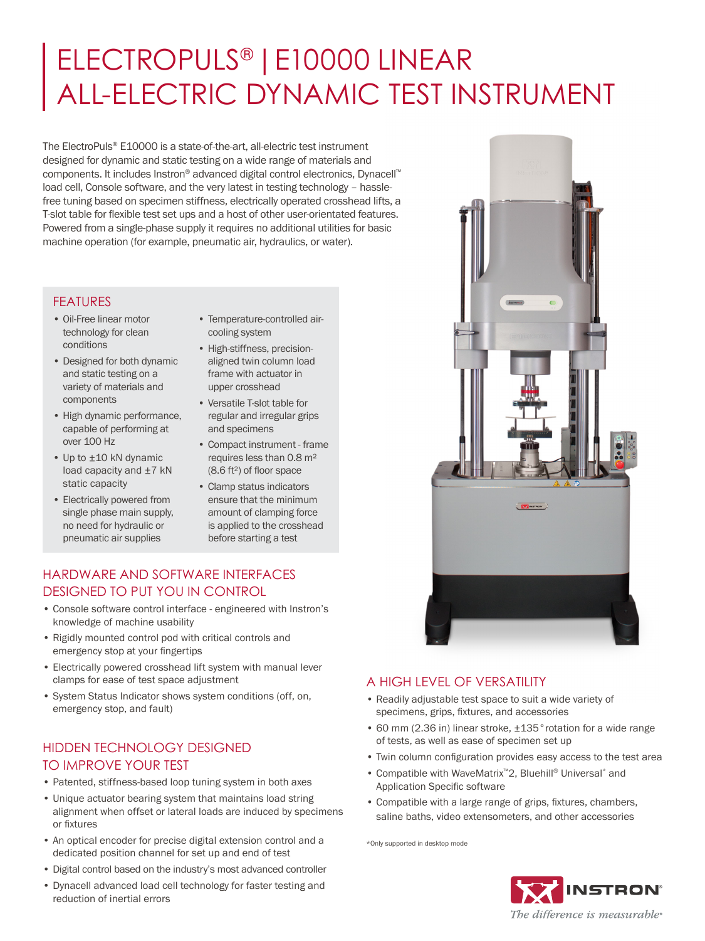# ELECTROPULS® |E10000 LINEAR ALL-ELECTRIC DYNAMIC TEST INSTRUMENT

The ElectroPuls® E10000 is a state-of-the-art, all-electric test instrument designed for dynamic and static testing on a wide range of materials and components. It includes Instron® advanced digital control electronics, Dynacell™ load cell, Console software, and the very latest in testing technology – hasslefree tuning based on specimen stiffness, electrically operated crosshead lifts, a T-slot table for flexible test set ups and a host of other user-orientated features. Powered from a single-phase supply it requires no additional utilities for basic machine operation (for example, pneumatic air, hydraulics, or water).

### FEATURES

- Oil-Free linear motor technology for clean conditions
- Designed for both dynamic and static testing on a variety of materials and components
- High dynamic performance, capable of performing at over 100 Hz
- Up to ±10 kN dynamic load capacity and ±7 kN static capacity
- Electrically powered from single phase main supply, no need for hydraulic or pneumatic air supplies
- Temperature-controlled aircooling system
- High-stiffness, precisionaligned twin column load frame with actuator in upper crosshead
- Versatile T-slot table for regular and irregular grips and specimens
- Compact instrument frame requires less than 0.8 m² (8.6 ft²) of floor space
- Clamp status indicators ensure that the minimum amount of clamping force is applied to the crosshead before starting a test

## HARDWARE AND SOFTWARE INTERFACES DESIGNED TO PUT YOU IN CONTROL

- Console software control interface engineered with Instron's knowledge of machine usability
- Rigidly mounted control pod with critical controls and emergency stop at your fingertips
- Electrically powered crosshead lift system with manual lever clamps for ease of test space adjustment
- System Status Indicator shows system conditions (off, on, emergency stop, and fault)

## HIDDEN TECHNOLOGY DESIGNED TO IMPROVE YOUR TEST

- Patented, stiffness-based loop tuning system in both axes
- Unique actuator bearing system that maintains load string alignment when offset or lateral loads are induced by specimens or fixtures
- An optical encoder for precise digital extension control and a dedicated position channel for set up and end of test
- Digital control based on the industry's most advanced controller
- Dynacell advanced load cell technology for faster testing and reduction of inertial errors



# A HIGH LEVEL OF VERSATILITY

- Readily adjustable test space to suit a wide variety of specimens, grips, fixtures, and accessories
- 60 mm (2.36 in) linear stroke, ±135°rotation for a wide range of tests, as well as ease of specimen set up
- Twin column configuration provides easy access to the test area
- Compatible with WaveMatrix™2, Bluehill® Universal\* and Application Specific software
- Compatible with a large range of grips, fixtures, chambers, saline baths, video extensometers, and other accessories

\*Only supported in desktop mode